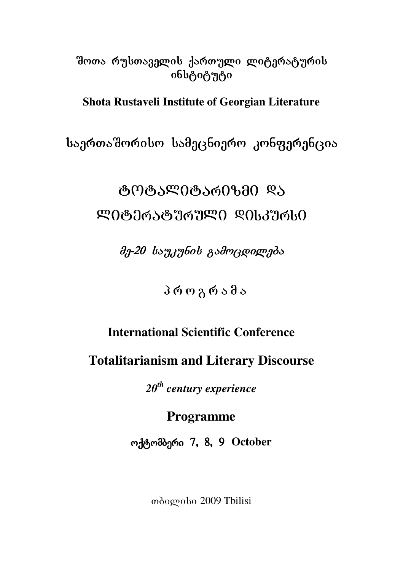# შოთა რუსთაველის ქართული ლიტერატურის ინსტიტუტი

**Shota Rustaveli Institute of Georgian Literature** 

საერთაშორისო სამეცნიერო კონფერენცია

# ঙণাঙ্গ ১ᲚᲘঙ্গ ১ᲠᲘᲖᲛᲘ ᲓᲐ  $R$ 008065087676000 $R$ 006376

 $\partial \eta$ -20 ba $\eta$ angbob gad $\eta$ agpogm $\eta$ da

# პროგრამა

# **International Scientific Conference**

**Totalitarianism and Literary Discourse** 

*20th century experience* 

**Programme** 

ოქტომბერი 7, 8, 9 October

Tbilisi 2009 Tbilisi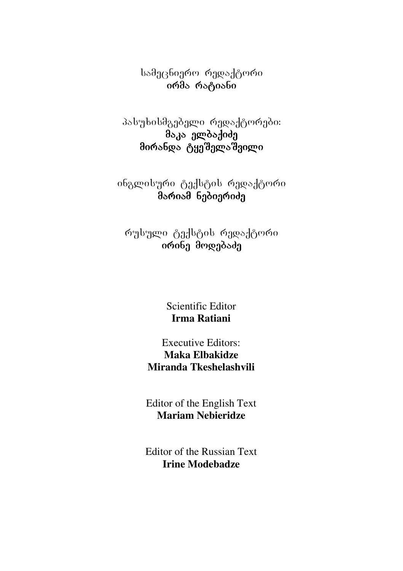სამეცნიერო რედაქტორი ირმა რატიანი

პასუხისმგებელი რედაქტორები:  $\partial_{\alpha}$ a agaa adaa მირანდა ტყეშელაშვილი  $\overline{\phantom{a}}$ 

ინგლისური ტექსტის რედაქტორი მარიამ ნებიერიძე

რუსული ტექსტის რედაქტორი oრინე მოდებაძე

> Scientific Editor **Irma Ratiani**

Executive Editors: **Maka Elbakidze Miranda Tkeshelashvili** 

Editor of the English Text **Mariam Nebieridze** 

Editor of the Russian Text **Irine Modebadze**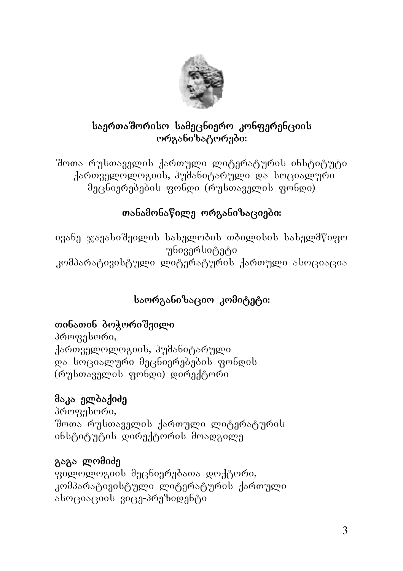

# საერთაშორისო სამეცნიერო კონფერენციის ორგანიზატორები:

შოთა რუსთაველის ქართული ლიტერატურის ინსტიტუტი ქართველოლოგიის, პუმანიტარული და სოციალური მეცნიერებების ფონდი (რუსთაველის ფონდი)

# თანამონაწილე ორგანიზაციები:

ივანე ჯავახიშვილის სახელობის თბილისის სახელმწიფო უნივერსიტეტი კომპარატივისტული ლიტერატურის ქართული ასოციაცია

# საორგანიზაციო კომიტეტი:

# თინათინ ბოჭორიშვილი

პროფესორი, ქართველოლოგიის, ჰუმანიტარული და სოციალური მეცნიერებების ფონდის (რუსთაველის ფონდი) დირექტორი

# მაკა ელბაქიძე

პროფესორი, შოთა რუსთაველის ქართული ლიტერატურის ინსტიტუტის დირექტორის მოადგილე

# გაგა ლომიძე

ფილოლოგიის მეცნიერებათა დოქტორი, კომპარატივისტული ლიტერატურის ქართული ასოციაციის ვიცე-პრეზიდენტი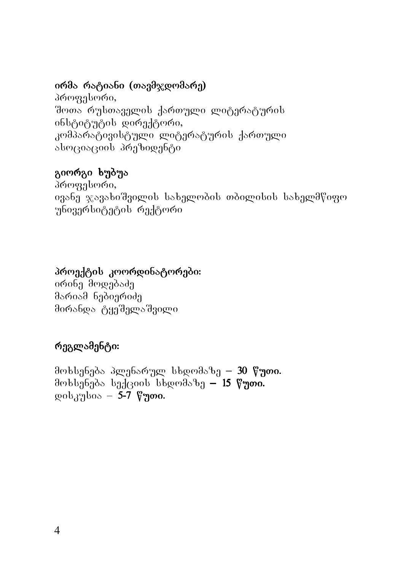### ირმა რატიანი (თავმჯდომარე)

პროფესორი, შოთა რუსთაველის ქართული ლიტერატურის ინსტიტუტის დირექტორი, კომპარატივისტული ლიტერატურის ქართული aboczoozanek dogadentia

# გიორგი ხუბუა

პროფესორი, ივანე ჯავახიშვილის სახელობის თბილისის სახელმწიფო უნივერსიტეტის რექტორი

### პროექტის კოორდინატორები:

ირინე მოდებაძე მარიამ ნებიერიძე მირანდა ტყეშელაშვილი

# რეგლამენტი:

მოხსენება პლენარულ სხდომაზე – 30 წუთი.  $\partial$ ოხსენება სექციის სხდომაზე — 15 წუთი.  $\text{gcd}_3$ უსია – 5-7 წუთი.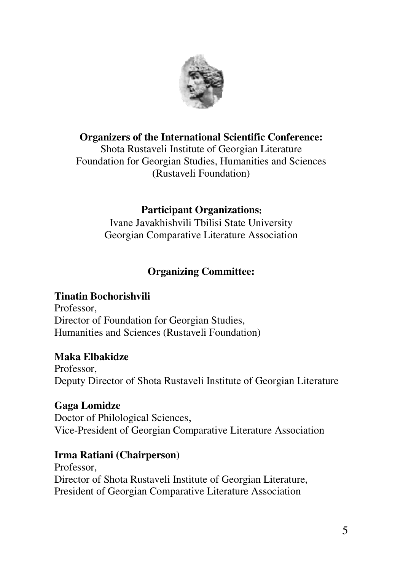

### **Organizers of the International Scientific Conference:**

Shota Rustaveli Institute of Georgian Literature Foundation for Georgian Studies, Humanities and Sciences (Rustaveli Foundation)

### **Participant Organizations**:

Ivane Javakhishvili Tbilisi State University Georgian Comparative Literature Association

# **Organizing Committee:**

#### **Tinatin Bochorishvili**

Professor, Director of Foundation for Georgian Studies, Humanities and Sciences (Rustaveli Foundation)

#### **Maka Elbakidze**

Professor, Deputy Director of Shota Rustaveli Institute of Georgian Literature

#### **Gaga Lomidze**  Doctor of Philological Sciences, Vice-President of Georgian Comparative Literature Association

#### **Irma Ratiani (Chairperson)**

Professor, Director of Shota Rustaveli Institute of Georgian Literature, President of Georgian Comparative Literature Association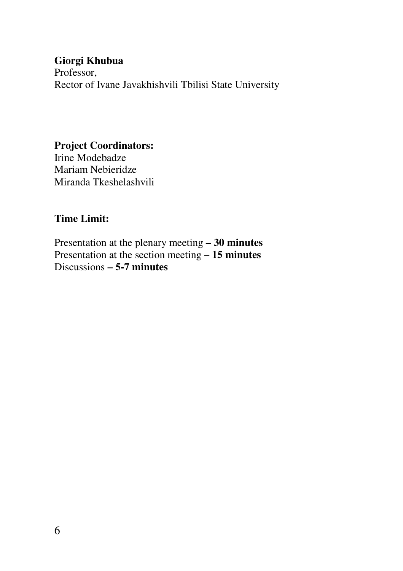#### **Giorgi Khubua**

Professor, Rector of Ivane Javakhishvili Tbilisi State University

#### **Project Coordinators:**

Irine Modebadze Mariam Nebieridze Miranda Tkeshelashvili

### **Time Limit:**

Presentation at the plenary meeting **– 30 minutes**  Presentation at the section meeting **– 15 minutes**  Discussions **– 5-7 minutes**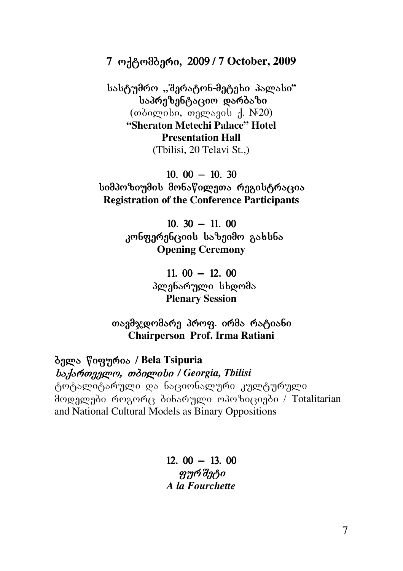7 ოქტომბერი, 2009 / 7 October, 2009

სასტუმრო "შერატონ-მეტეხი პალასი"  $b$ აპრეზენტა $c$ კიო დარბაზი  $($ *m* $\delta$ ograbo, magrabor  $\Lambda$ . N<sup>20</sup>) **"Sheraton Metechi Palace" Hotel Presentation Hall**  (Tbilisi, 20 Telavi St.,)

 $10.00 - 10.30$ სიმპოზიუმის მონაწილეთა რეგისტრაცია **Registration of the Conference Participants** 

> $10.30 - 11.00$ კონფერენციის საზეიმო გახსნა **Opening Ceremony**

> > $11.00 - 12.00$ პლენარული სხდომა **Plenary Session**

თავმჯდომარე პროფ. ირმა რატიანი **Chairperson Prof. Irma Ratiani** 

**ბელა წიფურია / Bela Tsipuria** bs. formangen, mongmoto / Georgia, Thilisi ტოტალიტარული და ნაციონალური კულტურული მოდელები როგორც ბინარული ოპოზიციები / Totalitarian and National Cultural Models as Binary Oppositions

> $12.00 - 13.00$ ფურშეტი *A la Fourchette*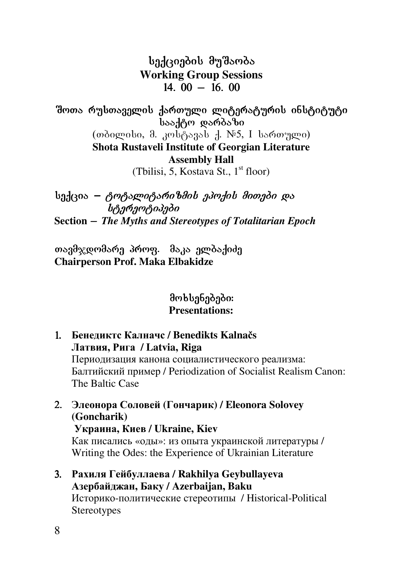სექციების მუშაობა **Working Group Sessions**   $14.00 - 16.00$ 

შოთა რუსთაველის ქართული ლიტერატურის ინსტიტუტი  $\overline{a}$  baaden darba $\overline{b}$ (თბილისი, მ. კოსტავას ქ.  $N_{5}$ , I სართული) **Shota Rustaveli Institute of Georgian Literature** 

**Assembly Hall** 

(Tbilisi, 5, Kostava St.,  $1<sup>st</sup>$  floor)

 $b_0$ ქცია — *ტოტალიტარიზმის ეპოქის მითები და* .<br>სტერეოტიპები **Section** \_ *The Myths and Stereotypes of Totalitarian Epoch* 

თავმჯდომარე პროფ. მაკა ელბაქიძე **Chairperson Prof. Maka Elbakidze** 

- 1. **Бенедиктс Калначс / Benedikts Kalnačs Латвия, Рига / Latvia, Riga** Периодизация канона социалистического реализма: Балтийский пример / Periodization of Socialist Realism Canon: The Baltic Case
- 2. **Элеонора Соловей (Гончарик) / Eleonora Solovey (Goncharik) Украина, Киев / Ukraine, Kiev** Как писались «оды»: из опыта украинской литературы / Writing the Odes: the Experience of Ukrainian Literature 3. **Рахиля Гейбуллаева / Rakhilya Geybullayeva**
	- **Азербайджан, Баку / Azerbaijan, Baku** Историко-политические стереотипы / Historical-Political **Stereotypes**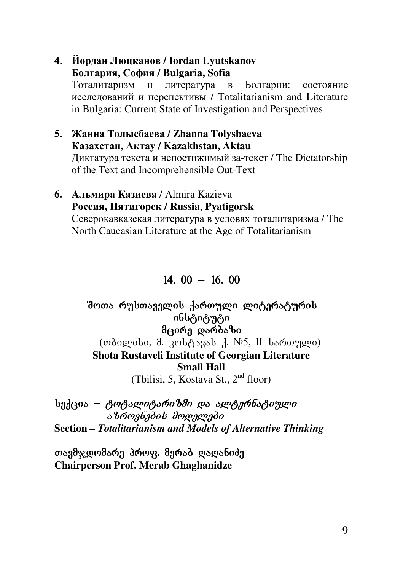#### 4. **Йордан Люцканов / Iordan Lyutskanov Болгария, София / Bulgaria, Sofia**

Тоталитаризм и литература в Болгарии: состояние исследований и перспективы / Totalitarianism and Literature in Bulgaria: Current State of Investigation and Perspectives

**5. Жанна Толысбаева / Zhanna Tolysbaeva Казахстан, Актау / Kazakhstan, Aktau** Диктатура текста и непостижимый за-текст / The Dictatorship of the Text and Incomprehensible Out-Text

#### **6. Альмира Казиева** / Almira Kazieva **Россия, Пятигорск / Russia**, **Pyatigorsk** Северокавказская литература в условях тоталитаризма / The North Caucasian Literature at the Age of Totalitarianism

### $14.00 - 16.00$

#### შოთა რუსთაველის ქართული ლიტერატურის <sup>ინსტიტუტი</sup>  $\theta$ ദര്മ്പ് യാര് $\delta$ ാ $\theta$  $(\omega)$  (molographolographolographolographolographolographolographolographolographolographolographolographolographolographolographolographolographolographolographolographolographolographolographolographolographolographologr **Shota Rustaveli Institute of Georgian Literature Small Hall**  (Tbilisi, 5, Kostava St., 2<sup>nd</sup> floor)

 $b_0$ ქცია – *ტოტალიტარიზმი და ალტერნატიული* s brongbadob droggrado **Section** *– Totalitarianism and Models of Alternative Thinking* 

თავმჯდომარე პროფ. მერაბ ღაღანიძე **Chairperson Prof. Merab Ghaghanidze**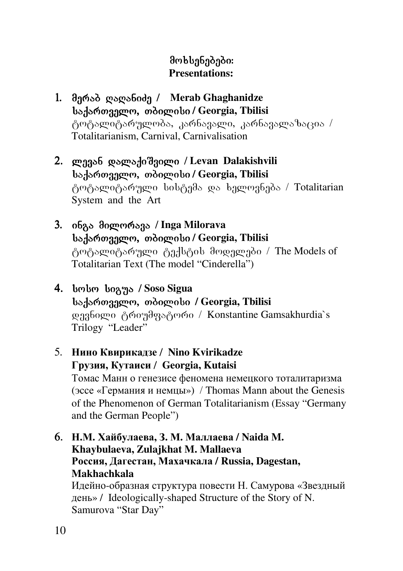# მოხსენებები: **Presentations:**

- 1. მერაბ ღაღანიძე / Merab Ghaghanidze badar<sub>do</sub>, mandardo, Georgia, Tbilisi ტოტალიტარულობა, კარნავალი, კარნავალაზაცია / Totalitarianism, Carnival, Carnivalisation
- 2. ლევან დალაქიშვილი / Levan Dalakishvili **საქართველო, თბილისი / Georgia, Tbilisi** ტოტალიტარული სისტემა და ხელოვნება / Totalitarian System and the Art
- 3. inga milorava / **Inga Milorava საქართველო, თბილისი / Georgia, Tbilisi** ტოტალიტარული ტექსტის მოდელები / The Models of Totalitarian Text (The model "Cinderella")
- 4. სოსო სიგუა / Soso Sigua **საქართველო, თბილისი / Georgia, Tbilisi** დევნილი ტრიუმფატორი / Konstantine Gamsakhurdia`s Trilogy "Leader"
- 5. **Нино Квирикадзе** / **Nino Kvirikadze Грузия, Кутаиси** / **Georgia, Kutaisi**

Томас Манн о генезисе феномена немецкого тоталитаризма (эссе «Германия и немцы») / Thomas Mann about the Genesis of the Phenomenon of German Totalitarianism (Essay "Germany and the German People")

6. **Н.М. Хайбулаева, З. М. Маллаева / Naida M. Khaybulaeva, Zulajkhat M. Mallaeva Россия, Дагестан, Махачкала / Russia, Dagestan, Makhachkala**  Идейно-образная структура повести Н. Самурова «Звездный

день» / Ideologically-shaped Structure of the Story of N. Samurova "Star Day"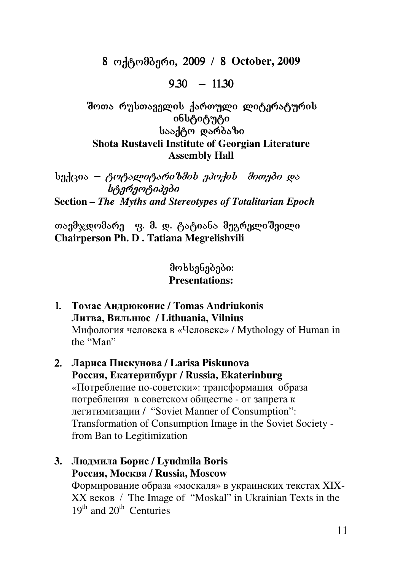8 ოქტომბერი, 2009 / 8 October, 2009

 $9.30 - 11.30$ 

შოთა რუსთაველის ქართული ლიტერატურის ინსტიტუტი booden wordsbo **Shota Rustaveli Institute of Georgian Literature Assembly Hall** 

სექცია – *ტოტალიტარიზმის ეპოქის მითები და* b<sub>i</sub> stereotipe bishone **Section** *– The Myths and Stereotypes of Totalitarian Epoch* 

თავმჯდომარე გ. მ. დ. ტატიანა მეგრელიშვილი **Chairperson Ph. D . Tatiana Megrelishvili** 

- 1. **Томас Андрюконис / Tomas Andriukonis Литва, Вильнюс / Lithuania, Vilnius**  Мифология человека в «Человеке» / Mythology of Human in the "Man"
- 2. **Лариса Пискунова / Larisa Piskunova Россия, Екатеринбург / Russia, Ekaterinburg**  «Потребление по-советски»: трансформация образа потребления в советском обществе - от запрета к легитимизации / "Soviet Manner of Consumption": Transformation of Consumption Image in the Soviet Society from Ban to Legitimization
- **3. Людмила Борис / Lyudmila Boris Россия, Москва / Russia, Moscow**  Формирование образа «москаля» в украинских текстах XIX-XX веков / The Image of "Moskal" in Ukrainian Texts in the  $19<sup>th</sup>$  and  $20<sup>th</sup>$  Centuries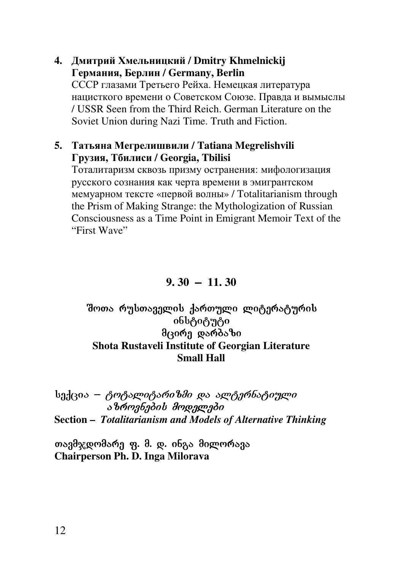#### **4. Дмитрий Хмельницкий / Dmitry Khmelnickij Германия, Берлин / Germany, Berlin**

СССР глазами Третьего Рейха. Немецкая литература нацисткого времени о Советском Союзе. Правда и вымыслы / USSR Seen from the Third Reich. German Literature on the Soviet Union during Nazi Time. Truth and Fiction.

#### **5. Татьяна Мегрелишвили / Tatiana Megrelishvili Грузия, Тбилиси / Georgia, Tbilisi**

Тоталитаризм сквозь призму остранения: мифологизация русского сознания как черта времени в эмигрантском мемуарном тексте «первой волны» / Totalitarianism through the Prism of Making Strange: the Mythologization of Russian Consciousness as a Time Point in Emigrant Memoir Text of the "First Wave"

**9. 30** \_ **11. 30** 

#### შოთა რუსთაველის ქართული ლიტერატურის ინსტიტუტი $\overline{\phantom{a}}$ მცირე დარბაზი **Shota Rustaveli Institute of Georgian Literature Small Hall**

სექცი*ა – ტოტალიტარიზმი და ალტერნატიული*  $\alpha$  $\alpha$ azaz $\alpha$  and  $\alpha$  and  $\alpha$  and  $\alpha$  and  $\alpha$  and  $\alpha$  and  $\alpha$  and  $\alpha$  and  $\alpha$  and  $\alpha$  and  $\alpha$  and  $\alpha$  and  $\alpha$  and  $\alpha$  and  $\alpha$  and  $\alpha$  and  $\alpha$  and  $\alpha$  and  $\alpha$  and  $\alpha$  and  $\alpha$  and  $\alpha$  and  $\alpha$  and  $\$ **Section –** *Totalitarianism and Models of Alternative Thinking* 

თავმჯდომარე ფ. მ. დ. ინგა მილორავა **Chairperson Ph. D. Inga Milorava**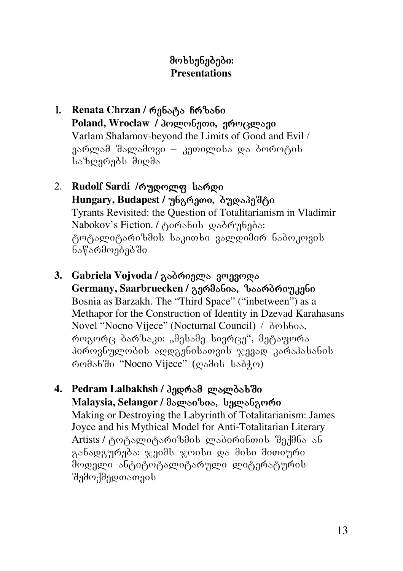- 1. **Renata Chrzan / რენატა ჩრზანი** Poland, Wroclaw / პოლონეთი, ვროცლავი Varlam Shalamov-beyond the Limits of Good and Evil / 3არლამ შალამოვი – კეთილისა და ბოროტის საზღვრებს მიღმა
- 2. **Rudolf Sardi** / mgong sango Hungary, Budapest / უნგრეთი, **ბუდაპეშტი** Tyrants Revisited: the Question of Totalitarianism in Vladimir Nabokov's Fiction. / ტირანის დაბრუნება: ტოტალიტარიზმის საკითხი ვალდიმირ ნაბოკოვის ნაწარმოებებში
- 3. **Gabriela Vojvoda / გაბრიელა ვოევოდა** Germany, Saarbruecken / გერმანია, ზაარბრიუკენი Bosnia as Barzakh. The "Third Space" ("inbetween") as a Methapor for the Construction of Identity in Dzevad Karahasans Novel "Nocno Vijece" (Nocturnal Council) /  $\delta$ mbbos, როგორც ბარზაკი: "მესამე სივრცე", მეტაფორა პიროვნულობის აღდგენისათვის ჯევად კარაჰასანის რომანში "Nocno Vijece" (ღამის საბჭო)
- 4. Pedram Lalbakhsh / პედრამ ლალბახში Malaysia, Selangor / მალაიზია, სელანგორი Making or Destroying the Labyrinth of Totalitarianism: James Joyce and his Mythical Model for Anti-Totalitarian Literary Artists / ტოტალიტარიზმის ლაბირინთის შექმნა ან განადგურება: ჯეიმს ჯოისი და მისი მითიური მოდელი ანტიტოტალიტარული ლიტერატურის "შემოქმედთათვის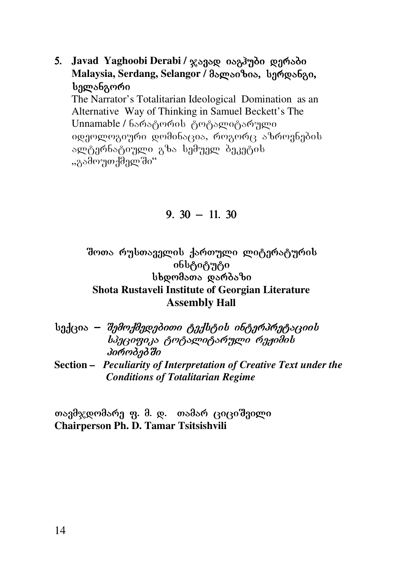5. Javad Yaghoobi Derabi / x3330 o3337do pamboo Malaysia, Serdang, Selangor / მალაიზია, სერდანგი, სელანგორი

The Narrator's Totalitarian Ideological Domination as an Alternative Way of Thinking in Samuel Beckett's The Unnamable / ნარატორის ტოტალიტარული იდეოლოგიური დომინაცია, როგორც აზროვნების ალტერნატიული გზა სემუელ ბეკეტის "გამოუთქმელში"

#### $9.30 - 11.30$

შოთა რუსთაველის ქართული ლიტერატურის ინსტიტუტი bbgmdsms gsmdsbn **Shota Rustaveli Institute of Georgian Literature Assembly Hall** 

|  | სექცია <i>– შემოქმედებითი ტექსტის ინტერპრეტაციის</i>               |
|--|--------------------------------------------------------------------|
|  | სპეციფიკა ტოტალიტარული რეჟიმის                                     |
|  | პიროპეპში                                                          |
|  | Section – Peculiarity of Interpretation of Creative Text under the |
|  | <b>Conditions of Totalitarian Regime</b>                           |

თავმჯდომარე ფ. მ. დ. თამარ ციციშვილი **Chairperson Ph. D. Tamar Tsitsishvili**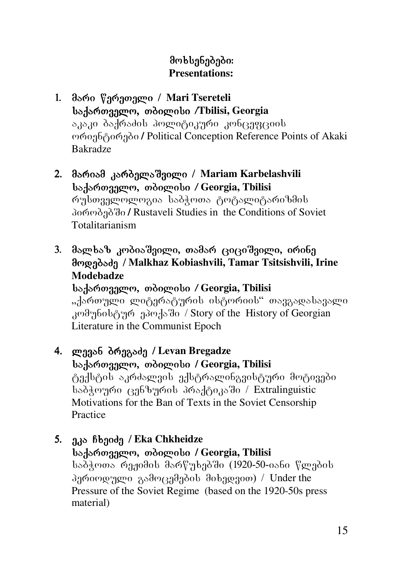# მოხსენებები: **Presentations:**

- 1. მარი წერეთელი / Mari Tsereteli saqarTvelo, Tbilisi */***Tbilisi, Georgia**  აკაკი ბაქრაძის პოლიტიკური კონცეფციის ორიენტირები / Political Conception Reference Points of Akaki Bakradze
- 2. mariam karbelaSvili / **Mariam Karbelashvili**  saqarTvelo, Tbilisi */* **Georgia, Tbilisi**  რუსთველოლოგია საბჭოთა ტოტალიტარიზმის პირობებში / Rustaveli Studies in the Conditions of Soviet Totalitarianism
- 3. მალხაზ კობიაშვილი, თამარ ციციშვილი, ირინე მოდებაძე / Malkhaz Kobiashvili, Tamar Tsitsishvili, Irine **Modebadze** saqarTvelo, Tbilisi */* **Georgia, Tbilisi**

"ქართული ლიტერატურის ისტორიის" თავგადასავალი კომუნისტურ ეპოქაში / Story of the History of Georgian Literature in the Communist Epoch

- 4. ლევან ბრეგაძე / Levan Bregadze **საქართველო, თბილისი / Georgia, Tbilisi** ტექსტის აკრძალვის ექსტრალინგვისტური მოტივები საბჭოური ცენზურის პრაქტიკაში / Extralinguistic Motivations for the Ban of Texts in the Soviet Censorship Practice
- 5. a<sub>d</sub> *f* banda / Eka Chkheidze saqarTvelo, Tbilisi **/ Georgia, Tbilisi**  საბჭოთა რეჟიმის მარწუხებში (1920-50-იანი წლების პერიოდული გამოცემების მიხედვით) / Under the Pressure of the Soviet Regime (based on the 1920-50s press material)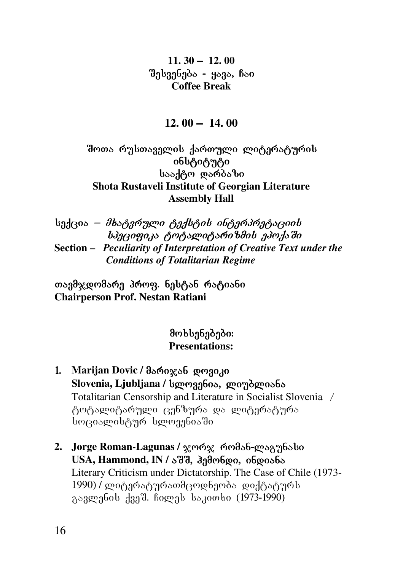**11. 30** \_ **12. 00**   $a<sub>3</sub>$   $a<sub>3</sub>$   $a<sub>2</sub>$   $a<sub>3</sub>$   $a<sub>4</sub>$   $a<sub>5</sub>$   $a<sub>6</sub>$   $a<sub>7</sub>$   $a<sub>8</sub>$   $a<sub>7</sub>$   $a<sub>8</sub>$   $a<sub>7</sub>$   $a<sub>8</sub>$   $a<sub>9</sub>$   $a<sub>1</sub>$   $a<sub>1</sub>$   $a<sub>1</sub>$   $a<sub>1</sub>$   $a<sub>1</sub>$   $a<sub>1</sub>$  **Coffee Break** 

**12. 00** \_ **14. 00** 

შოთა რუსთაველის ქართული ლიტერატურის obbტიტუტი სააქტო დარბაზი **Shota Rustaveli Institute of Georgian Literature Assembly Hall**

 $b$ adeo $s - \theta b$ seganggo egal $b$ egob obegangsegoob  $b$  $\partial$ geo $q$ o $\partial$  specification to  $b$ alitarian specificalitation of  $a$ **Section –** *Peculiarity of Interpretation of Creative Text under the Conditions of Totalitarian Regime* 

თავმჯდომარე პროფ. ნესტან რატიანი **Chairperson Prof. Nestan Ratiani** 

- 1. **Marijan Dovic / მარიჯან დოვიკი** Slovenia, Ljubljana / სლოვენია, ლიუბლიანა Totalitarian Censorship and Literature in Socialist Slovenia / ტოტალიტარული ცენზურა და ლიტერატურა სოციალისტურ სლოვენიაში
- 2. **Jorge Roman-Lagunas / ჯორჯ რომან-ლაგუნასი** USA, Hammond, IN / აშშ, *ჰემონდი, ინდიანა* Literary Criticism under Dictatorship. The Case of Chile (1973- 1990) / ლიტერატურათმცოდნეობა\_დიქტატურს გავლენის ქვეშ. ჩილეს საკითხი (1973-1990)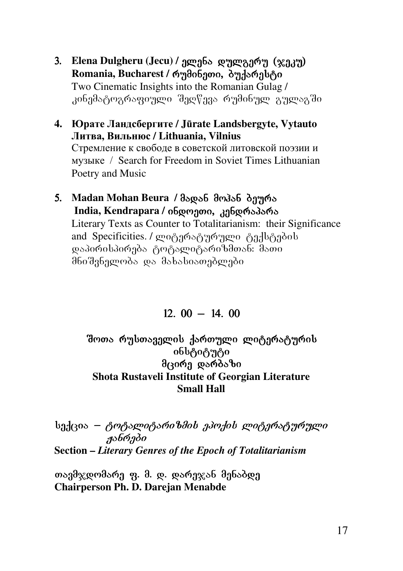- 3. Elena Dulgheru (Jecu) / age abo genge and (xaan) Romania, Bucharest / ค<sub>ั</sub>วปิด6ิวตอ, อิตปิลค์ beg Two Cinematic Insights into the Romanian Gulag / კინემატოგრაფიული შედწევა რუმინულ გულაგში
- **4. Юрате Ландсбергите / Jūrate Landsbergyte, Vytauto Литва, Вильнюс / Lithuania, Vilnius** Стремление к свободе в советской литовской поэзии и музыке / Search for Freedom in Soviet Times Lithuanian Poetry and Music
- 5. Madan Mohan Beura / მადან მოპან ბეურა **India, Kendrapara / ინდოეთი, კენდრაპარა** Literary Texts as Counter to Totalitarianism: their Significance and Specificities. / ლიტერატურული ტექსტების დაპირისპირება ტოტალიტარიზმთან: შათი მნიშვნელობა და მახასიათებლები

 $12.00 - 14.00$ 

#### შოთა რუსთაველის ქართული ლიტერატურის ინსტიტუტი მცირე დარბაზი **Shota Rustaveli Institute of Georgian Literature Small Hall**

სექცია *– ტოტალიტარიზმის ეპოქის ლიტერატურული* ჟანრები **Section –** *Literary Genres of the Epoch of Totalitarianism*

თავმჯდომარე ფ. მ. დ. დარეჯან მენაბდე **Chairperson Ph. D. Darejan Menabde**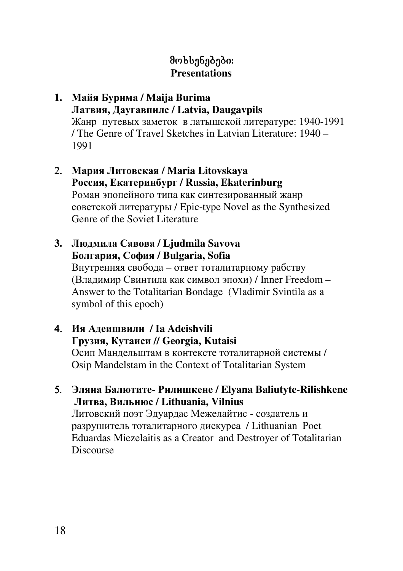# მოხსენებები: **Presentations**

#### **1. Майя Бурима / Maija Burima Латвия, Даугавпилс / Latvia, Daugavpils** Жанр путевых заметок в латышской литературе: 1940-1991

/ The Genre of Travel Sketches in Latvian Literature: 1940 – 1991

#### 2. **Мария Литовская / Maria Litovskaya Россия, Екатеринбург / Russia, Ekaterinburg** Роман эпопейного типа как синтезированный жанр советской литературы / Epic-type Novel as the Synthesized Genre of the Soviet Literature

# **3. Людмила Савова / Ljudmila Savova Болгария, София / Bulgaria, Sofia**

Внутренняя свобода – ответ тоталитарному рабству (Владимир Свинтила как символ эпохи) / Inner Freedom – Answer to the Totalitarian Bondage (Vladimir Svintila as a symbol of this epoch)

#### 4. **Ия Адеишвили / Ia Adeishvili Грузия, Кутаиси // Georgia, Kutaisi**  Осип Мандельштам в контексте тоталитарной системы / Osip Mandelstam in the Context of Totalitarian System

5. **Эляна Балютите- Рилишкене / Elyana Baliutyte-Rilishkene Литва, Вильнюс / Lithuania, Vilnius** Литовский поэт Эдуардас Межелайтис - создатель и разрушитель тоталитарного дискурса / Lithuanian Poet Eduardas Miezelaitis as a Creator and Destroyer of Totalitarian Discourse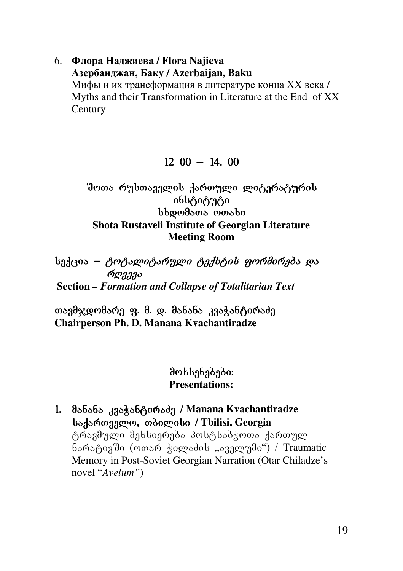### 6. **Флора Наджиева / Flora Najieva Азербаиджан, Баку / Azerbaijan, Baku**

Мифы и их трансформация в литературе конца ХХ века / Myths and their Transformation in Literature at the End of XX **Century** 

#### $12\,00 - 14.00$

#### შოთა რუსთაველის ქართული ლიტერატურის ინსტიტუტი bbcomato monto **Shota Rustaveli Institute of Georgian Literature Meeting Room**

სექცია – *ტოტალიტარული ტექსტის ფორმირება და*  $\phi_{\mathcal{R}333}$  **Section** *– Formation and Collapse of Totalitarian Text* 

თავმჯდომარე ფ. მ. დ. მანანა კვაჭანტირაძე **Chairperson Ph. D. Manana Kvachantiradze** 

#### მოხსენებები: **Presentations:**

1. მანანა კვაჭანტირაძე / Manana Kvachantiradze **საქართველო, თბილისი / Tbilisi, Georgia** ტრავმული მეხსიერება პოსტსაბჭოთა ქართულ ნარატივში (ოთარ ჭილაძის "აველუმი") / Traumatic Memory in Post-Soviet Georgian Narration (Otar Chiladze's novel "*Avelum"*)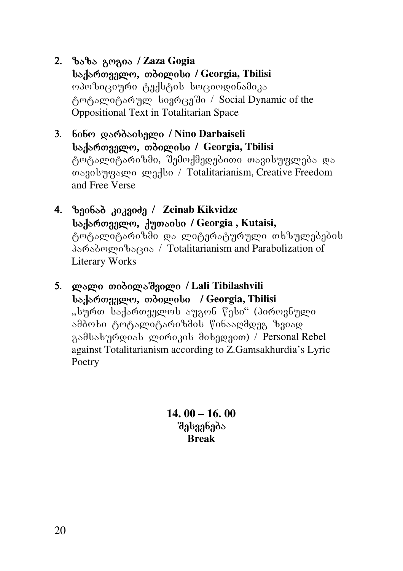- 2. zaza gogia zaza gogia / **Zaza Gogia** bortomargon, moognoto / Georgia, Tbilisi  $\alpha$ ambo $\alpha$ gomo  $\beta$ adb $\beta$ ob bo $\alpha$ omoo $\beta$ abaas ტოტალიტარულ სივრცეში / Social Dynamic of the Oppositional Text in Totalitarian Space
- 3. nino darbaiseli / **Nino Darbaiseli** saqarTvelo, Tbilisi Tbilisi **/ Georgia, Tbilisi**  ტოტალიტარიზმი, შემოქმედებითი თავისუფლება და თავისუფალი ლექსი / Totalitarianism, Creative Freedom and Free Verse
- 4.  $\theta$ gobod *zozgoda* / Zeinab Kikvidze bs. bo. borgagen, Angosobo / Georgia, Kutaisi, ტოტალიტარიზში და ლიტერატურული თხზულებების parabolizacia / Totalitarianism and Parabolization of Literary Works
- 5. ლალი თიბილაშვილი / Lali Tibilashvili **საქართველო, თბილისი / Georgia, Tbilisi** "სურთ საქართველოს აუგონ წესი" (პიროვნული ამბოხი ტოტალიტარიზმის წინააღმდეგ ზვიად გამსახურდიას ლირიკის მიხედვით) / Personal Rebel against Totalitarianism according to Z.Gamsakhurdia's Lyric Poetry

**14. 00 – 16. 00**  შესვენება **Break**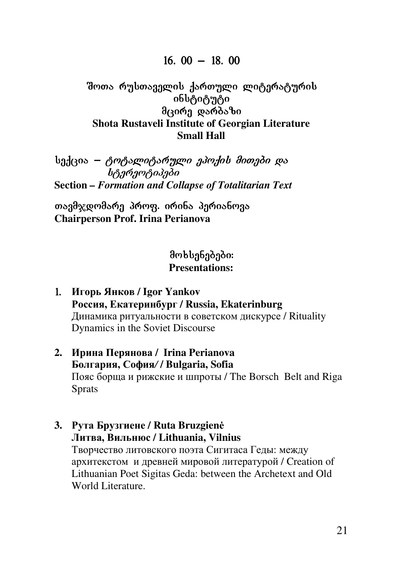#### $16.00 - 18.00$

#### Bოთა რუსთაველის ქართული ლიტერატურის obbტიტუტი მცირე დარბაზი **Shota Rustaveli Institute of Georgian Literature Small Hall**

badcos – *ტოტალიტარული ეპოქის მითები და* ้ *โหร*ิ้ การครับอีก **Section** *– Formation and Collapse of Totalitarian Text* 

თავმჯდომარე პროფ. ირინა პერიანოვა **Chairperson Prof. Irina Perianova** 

- 1. **Игорь Янков / Igor Yankov Россия, Екатеринбург / Russia, Ekaterinburg** Динамика ритуальности в советском дискурсе / Rituality Dynamics in the Soviet Discourse
- **2. Ирина Перянова / Irina Perianova Болгария, София***/* **/ Bulgaria, Sofia**  Пояс борща и рижские и шпроты / The Borsch Belt and Riga Sprats
- **3. Рута Брузгиене / Ruta Bruzgien÷ Литва, Вильнюс / Lithuania, Vilnius** Творчество литовского поэта Сигитаса Геды: между архитекстом и древней мировой литературой / Creation of Lithuanian Poet Sigitas Geda: between the Archetext and Old World Literature.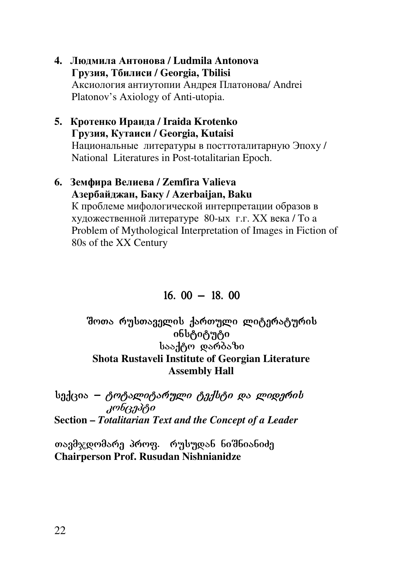#### **4. Людмила Антонова / Ludmila Antonova Грузия, Тбилиси / Georgia, Tbilisi**  Аксиология антиутопии Андрея Платонова/ Andrei Platonov's Axiology of Anti-utopia.

#### **5. Кротенко Ираида / Iraida Krotenko Грузия, Кутаиси / Georgia, Kutaisi**  Национальные литературы в посттоталитарную Эпоху / National Literatures in Post-totalitarian Epoch.

### **6. Земфира Велиева / Zemfira Valieva Aзербайджан, Баку / Azerbaijan, Baku**  К проблеме мифологической интерпретации образов в художественной литературе 80-ых г.г. ХХ века / To a Problem of Mythological Interpretation of Images in Fiction of

80s of the XX Century

# $16.00 - 18.00$

#### შოთა რუსთაველის ქართული ლიტერატურის ინსტიტუტი სააქტო დარბაზი **Shota Rustaveli Institute of Georgian Literature Assembly Hall**

# $b_0$ ქცია – ტოტალიტარული ტექსტი და ლიდერის  $k$

# **Section –** *Totalitarian Text and the Concept of a Leader*

თავმჯდომარე პროფ. რუსუდან ნიშნიანიძე **Chairperson Prof. Rusudan Nishnianidze**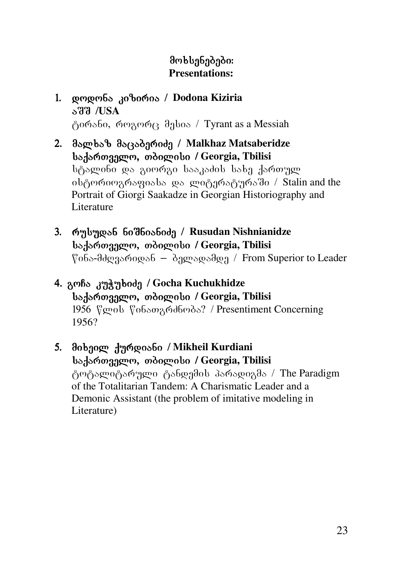# მოხსენებები: **Presentations:**

#### 1. დოდონა კიზირია / Dodona Kiziria aSS /**USA**  ტირანი, როგორც მესია / Tyrant as a Messiah

- 2. მალხაზ მაცაბერიძე / Malkhaz Matsaberidze saqarTvelo, Tbilisi Tbilisi **/ Georgia, Tbilisi**  სტალინი და გიორგი სააკაძის სახე ქართულ ob & monghogosbs და ლიტერატურაში / Stalin and the Portrait of Giorgi Saakadze in Georgian Historiography and Literature
- 3. რუსუდან ნიშნიანიძე / Rusudan Nishnianidze **საქართველო, თბილისი / Georgia, Tbilisi**  $\degree$ დნა-მძღვარიდან – ბელადამდე / From Superior to Leader
- 4. AcnBo 373 373 bod 3 / Gocha Kuchukhidze **საქართველო, თბილისი / Georgia, Tbilisi** 1956 flamob flo6songodboods? / Presentiment Concerning 1956?
- 5. მიხეილ ქურდიანი / Mikheil Kurdiani saqarTvelo, Tbilisi saqarTvelo, Tbilisi **/ Georgia, Tbilisi**  ტოტალიტარული ტანდემის პარადიგმა / The Paradigm of the Totalitarian Tandem: A Charismatic Leader and a Demonic Assistant (the problem of imitative modeling in Literature)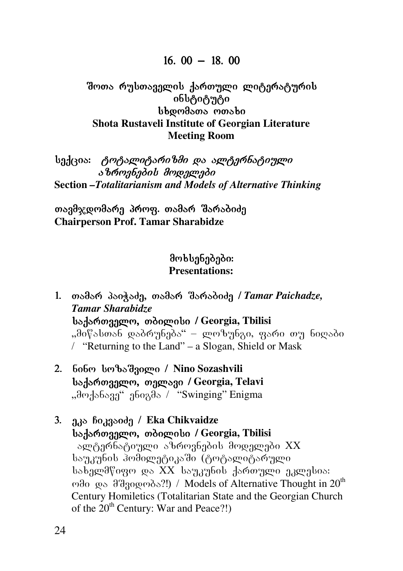#### $16.00 - 18.00$

#### Bოთა რუსთაველის ქართული ლიტერატურის ინსტიტუტი bbomasos monsbo **Shota Rustaveli Institute of Georgian Literature Meeting Room**

**სექცია: ტოტალიტარიზმი და ალტერნატიული**  $\delta$ *brongbadob* droggongdo **Section** *–Totalitarianism and Models of Alternative Thinking*

თავმჯდომარე პროფ. თამარ შარაბიძე **Chairperson Prof. Tamar Sharabidze** 

### მოხსენებები: **Presentations:**

1. თამარ პაიჭაძე, თამარ შარაბიძე / Tamar Paichadze, *Tamar Sharabidze* **საქართველო, თბილისი / Georgia, Tbilisi** "მიწასთან დაბრუნება" – ლოზუნგი, ფარი თუ ნიღაბი / "Returning to the Land" – a Slogan, Shield or Mask

- 2. nino sozaSvili / / **Nino Sozashvili საქართველო, თელავი / Georgia, Telavi** ,,dogologga / "Swinging" Enigma
- 3. a<sub>d</sub> *foggooda* / Eka Chikvaidze **საქართველო, თბილისი / Georgia, Tbilisi** sლტერნატიული აზროვნების მოდელები XX საუკუნის ჰომილეტიკაში (ტოტალიტარული  $b$ ახელმწიფო და XX  $b$ აუკუნის ქართული ეკლე $b$ ია:  $\omega$ θ  $\omega$  da  $\omega$  da  $\omega$  da  $\omega$ <sup>th</sup>) / Models of Alternative Thought in 20<sup>th</sup> Century Homiletics (Totalitarian State and the Georgian Church of the  $20<sup>th</sup>$  Century: War and Peace?!)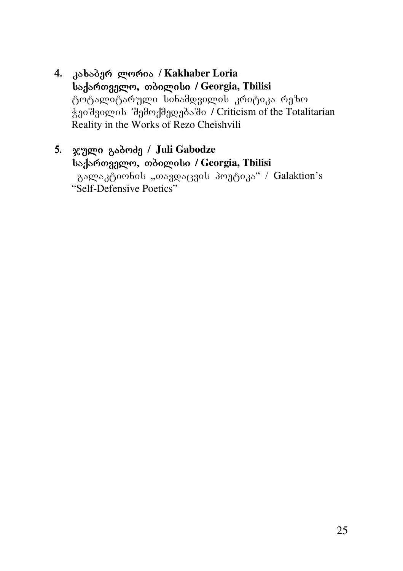4. კახაბერ ლორია / **Kakhaber Loria საქართველო, თბილისი / Georgia, Tbilisi** ტოტალიტარული სინამდვილის კრიტიკა რეზო  $\chi_{10}$  θ $\chi_{20}$   $\chi_{30}$  θ $\chi_{00}$  θ $\chi_{00}$  θ $\chi_{00}$  θ $\chi_{00}$  θ $\chi_{00}$  θ $\chi_{00}$  θ $\chi_{00}$  θ $\chi_{00}$ Reality in the Works of Rezo Cheishvili

# 5. ჯული გაბოძე / **Juli Gabodze საქართველო, თბილისი / Georgia, Tbilisi**

გალაკტიონის "თავდაცვის პოეტიკა" / Galaktion's "Self-Defensive Poetics"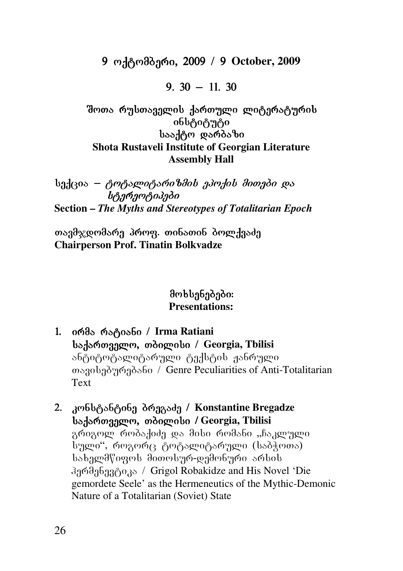### 9 ოქტომბერი, 2009 / 9 October, 2009

### 9.  $30 - 11$ . 30

შოთა რუსთაველის ქართული ლიტერატურის ინსტიტუტი სააქტო დარბაზი **Shota Rustaveli Institute of Georgian Literature Assembly Hall** 

 $b_{3d}$ ცია — *ტოტალიტარიზმის ეპოქის მითები და*  $b_0$ nengen $\delta_0$ **Section –** *The Myths and Stereotypes of Totalitarian Epoch*

თავმჯდომარე პროფ. თინათინ ბოლქვაძე **Chairperson Prof. Tinatin Bolkvadze** 

- 1. ირმა რატიანი / Irma Ratiani saqarTvelo, Tbilisi / **Georgia, Tbilisi**  ანტიტოტალიტარული ტექსტის ჟანრული თავისებურებანი / Genre Peculiarities of Anti-Totalitarian Text
- 2. კონსტანტინე ბრეგაძე / Konstantine Bregadze **საქართველო, თბილისი / Georgia, Tbilisi** გრიგოლ რობაქიძე და მისი რომანი "ჩაკლული სული", როგორც ტოტალიტარული (საბჭოთა) სახელმწიფოს მითოსურ-დემონური არსის damenevel in Sand Robakidze and His Novel 'Die gemordete Seele' as the Hermeneutics of the Mythic-Demonic Nature of a Totalitarian (Soviet) State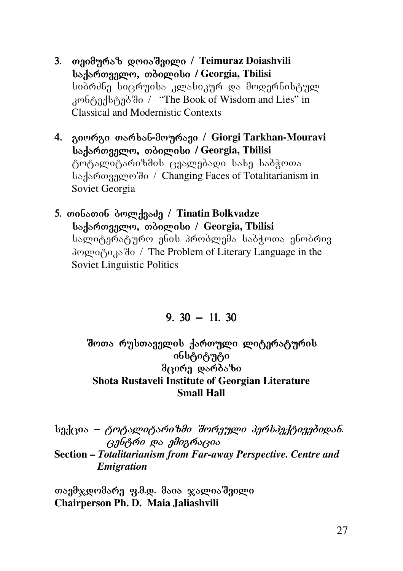- 3. თეიმურაზ დოიაშვილი / Teimuraz Doiashvili bs. bomangon, moogoobo / Georgia, Tbilisi სიპრძნე სიცრუისა კლასიკურ და მოდერნისტულ  $k$ <sup>306</sup> $\beta$ 3 $\beta$ <sup>1</sup> $\beta$ <sup>3</sup> $\beta$ <sup>3</sup> $\alpha$  / "The Book of Wisdom and Lies" in Classical and Modernistic Contexts
- 4. giorgi Tarxan- Tarxan-mouravi / mouravi / **Giorgi Tarkhan-Mouravi საქართველო, თბილისი / Georgia, Tbilisi** ტოტალიტარიზმის ცვალებადი სახე საბჭოთა bsdsmogggement / Changing Faces of Totalitarianism in Soviet Georgia
- 5. თინათინ ბოლქვაძე / Tinatin Bolkvadze bs. bomango, moogoobo / Georgia, Tbilisi სალიტერატურო ენის პრობლემა საბჭოთა ენობრივ  $\partial \phi$   $\partial \partial \partial \partial \partial \phi$  / The Problem of Literary Language in the Soviet Linguistic Politics

9.  $30 - 11$ . 30

#### შოთა რუსთაველის ქართული ლიტერატურის ინსტიტუტი  $\partial$ ദര്മ്പ് യാര് $\delta$ ാ $\partial$ **Shota Rustaveli Institute of Georgian Literature Small Hall**

 $b_0$ ქცია – *ტოტალიტარიზმი შორეული პერსპექტივებიდან.* ცენტრი და ემიგრაცია **Section –** *Totalitarianism from Far-away Perspective. Centre and Emigration* 

თავმჯდომარე ფ.მ.დ. მაია ჯალიაშვილი **Chairperson Ph. D. Maia Jaliashvili**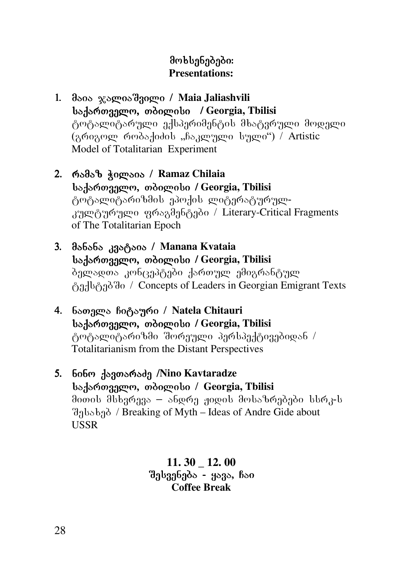### მოხსენებები: **Presentations:**

- 1. მაია ჯალიაშვილი / Maia Jaliashvili saqarTvelo, Tbilisi Tbilisi **/ Georgia, Tbilisi**  ტოტალიტარული ექსპერიმენტის მხატვრული მოდელი (გრიგოლ რობაქიძის "ჩაკლული სული") / Artistic Model of Totalitarian Experiment
- 2. რამაზ ჭილაია / Ramaz Chilaia **საქართველო, თბილისი / Georgia, Tbilisi** ტოტალიტარიზმის ეპოქის ლიტერატურულკულტურული ფრაგმენტები / Literary-Critical Fragments of The Totalitarian Epoch
- 3. manana kvataia / **Manana Kvataia**  badar<sub>da</sub>ry and *isdomoto* / Georgia, Tbilisi ბელადთა კონცეპტები ქართულ ემიგრანტულ ტექსტებში / Concepts of Leaders in Georgian Emigrant Texts
- 4. ნათელა ჩიტაური / Natela Chitauri **საქართველო, თბილისი / Georgia, Tbilisi** ტოტალიტარიზმი შორეული პერსპექტივებიდან / Totalitarianism from the Distant Perspectives
- 5. ნინო ქავთარაძე /Nino Kavtaradze borlogar<sub>93</sub> member / Georgia, Tbilisi მითის მსხვრევა – ანდრე ჟიდის მოსაზრებები სსრკ-ს  $\partial_{\Omega}$  bs $\partial_{\Omega}$  / Breaking of Myth – Ideas of Andre Gide about USSR

**11. 30 \_ 12. 00**   $a<sub>3</sub>$ ესვენება - ყავა, ჩაი **Coffee Break**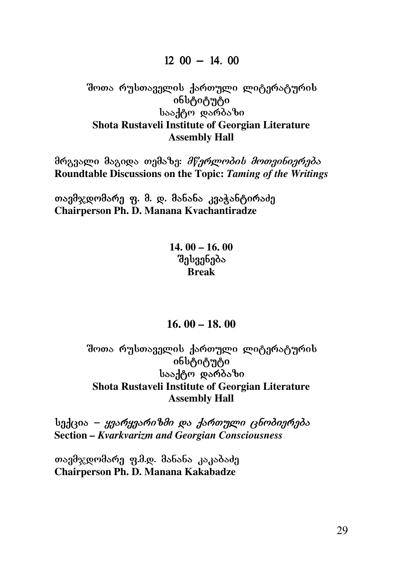#### $12 \t00 - 14.00$

#### Boos რუსთაველის ქართული ლიტერატურის <sup>ิ</sup>ინსტიტუტი სააქტო დარბაზი **Shota Rustaveli Institute of Georgian Literature Assembly Hall**

მრგვალი მაგიდა თემაზე: *მწერლობის მოთვინიერება* **Roundtable Discussions on the Topic:** *Taming of the Writings* 

თავმჯდომარე ფ. მ. დ. მანანა კვაჭანტირაძე **Chairperson Ph. D. Manana Kvachantiradze** 

> **14. 00 – 16. 00 d**abaa6ado **Break**

#### **16. 00 – 18. 00**

#### შოთა რუსთაველის ქართული ლიტერატურის ინსტიტუტი სააქტო დარბაზი **Shota Rustaveli Institute of Georgian Literature Assembly Hall**

badeso – *ygsრygsრიზმი და ქართული ცნობიერება* **Section** *– Kvarkvarizm and Georgian Consciousness* 

თავმჯდომარე ფ.მ.დ. მანანა კაკაბაძე **Chairperson Ph. D. Manana Kakabadze**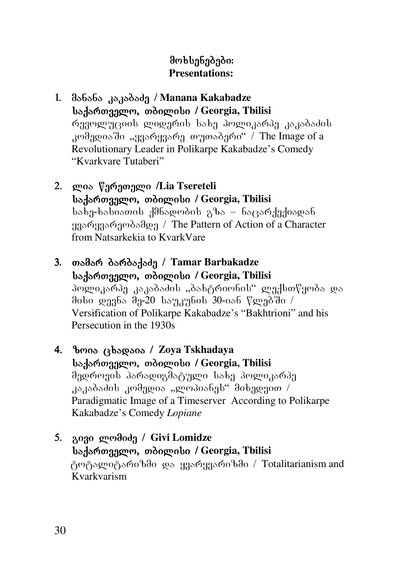- 1. manana kakabaZe / manana kakabaZe / **Manana Kakabadze** saqarTvelo, Tbilisi **/ Georgia, Tbilisi**  რუვოლუციის ლიდერის სახე პოლიკარპე კაკაბაძის  $k$ ომედიაში "ყვარყვარე თუთაბერი" / The Image of a Revolutionary Leader in Polikarpe Kakabadze's Comedy "Kvarkvare Tutaberi"
- 2. ლია წერეთელი /Lia Tsereteli **საქართველო, თბილისი / Georgia, Tbilisi**  $s_{\rm s}$  as  $s_{\rm s}$ asia $s_{\rm s}$ dan dokonomis ga $s_{\rm s}$ ყვარყვარეობამდე / The Pattern of Action of a Character from Natsarkekia to KvarkVare
- 3. თამარ ბარბაქაძე / Tamar Barbakadze **საქართველო, თბილისი / Georgia, Tbilisi** პოლიკარპე კაკაბაძის "ბახტრიონის" ლექსთწყობა და dobo gaabs da-20 bsaaybob 30-os6  $\degree$  gaaddo / Versification of Polikarpe Kakabadze's "Bakhtrioni" and his Persecution in the 1930s
- 4. zoiacxadaia cxadaiacxadaia / **Zoya Tskhadaya**  saqarTvelo, Tbilisi Tbilisi **/ Georgia, Tbilisi**  მედროვის პარადიგმატული სახე პოლიკარპე  $\lambda$ აკაბაძის კომედია "ლოპიანეს" მიხედვით / Paradigmatic Image of a Timeserver According to Polikarpe Kakabadze's Comedy *Lopiane*
- 5. გივი ლომიძე / Givi Lomidze saqarTvelo, Tbilisi saqarTvelo, Tbilisi **/ Georgia, Tbilisi**  ტოტალიტარიზმი და ყვარყვარიზმი / Totalitarianism and Kvarkvarism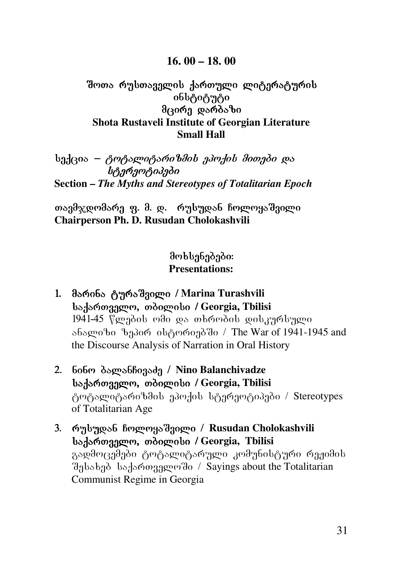#### **16. 00 – 18. 00**

#### შოთა რუსთაველის ქართული ლიტერატურის ინსტიტუტი მცირე დარბაზი **Shota Rustaveli Institute of Georgian Literature Small Hall**

 $b$ ექცია — *ტოტალიტარიზმის ეპოქის მითები და* b<sub>i</sub> stereotipe bishone **Section –** *The Myths and Stereotypes of Totalitarian Epoch*

თავმჯდომარე ფ. მ. დ. რუსუდან ჩოლოყაშვილი **Chairperson Ph. D. Rusudan Cholokashvili** 

- 1. მარინა ტურაშვილი / Marina Turashvili saqarTvelo, Tbilisi Tbilisi **/ Georgia, Tbilisi**  1941-45 წლების ომი და თხრობის დისკურსული ანალიზი ზეპირ ისტორიებში / The War of 1941-1945 and the Discourse Analysis of Narration in Oral History
- 2. ნინო ბალანჩივაძე / Nino Balanchivadze bs. bo. boxaggen, ordogen bo / Georgia, Tbilisi ტოტალიტარიზმის ეპოქის სტერეოტიპები / Stereotypes of Totalitarian Age
- 3. რუსუდან ჩოლოყაშვილი / Rusudan Cholokashvili **საქართველო, თბილისი / Georgia, Tbilisi** გადმოცემები ტოტალიტარული კომუნისტური რეჟიმის შესახებ საქართველოში / Sayings about the Totalitarian Communist Regime in Georgia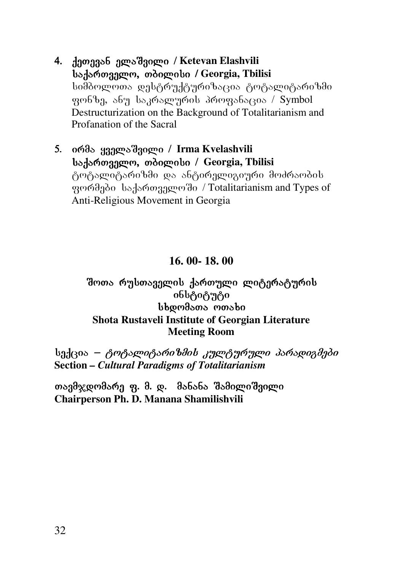- 4. ქეთევან ელაშვილი / Ketevan Elashvili bs. bomangon, moogoobo / Georgia, Tbilisi სიმბოლოთა დესტრუქტურიზაცია ტოტალიტარიზმი  $9.966$ g, a $5.9$  kagraluring profanacia ang sakralang bayang ang  $/$  Symbol Destructurization on the Background of Totalitarianism and Profanation of the Sacral
- 5. ირმა ყველაშვილი / Irma Kvelashvili bo. bo. borgaro, moogoobo / Georgia, Tbilisi ტოტალიტარიზმი და ანტირელიგიური მოძრაობის grand and Types of grand bad and the same of  $\alpha$ Anti-Religious Movement in Georgia

#### **16. 00- 18. 00**

#### შოთა რუსთაველის ქართული ლიტერატურის ინსტიტუტი bbomasons monsbo **Shota Rustaveli Institute of Georgian Literature Meeting Room**

სექცია – ტოტალიტარიზმის კულტურული პარადიგმები **Section** *– Cultural Paradigms of Totalitarianism* 

თავმჯდომარე ფ. მ. დ. მანანა შამილიშვილი **Chairperson Ph. D. Manana Shamilishvili**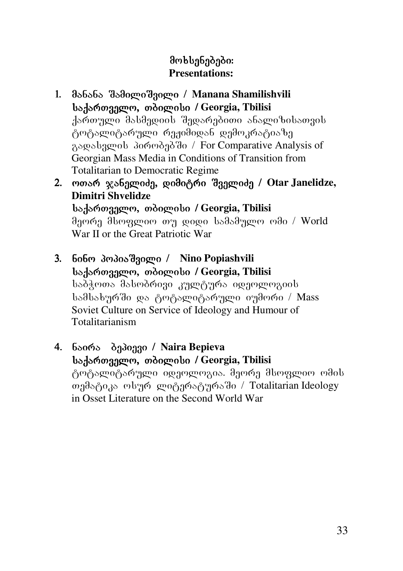- 1. მანანა შამილიშვილი / Manana Shamilishvili badar<sub>da</sub>ry and *isdomoto* / Georgia, Thilisi ქართული მასმედიის შედარებითი ანალიზისათვის ტოტალიტარული რეჟიმიდან დემოკრატიაზე aswedagwob 300003030 / For Comparative Analysis of Georgian Mass Media in Conditions of Transition from Totalitarian to Democratic Regime
- 2. ოთარ ჯანელიძე, დიმიტრი შველიძე / Otar Janelidze, **Dimitri Shvelidze საქართველო, თბილისი / Georgia, Tbilisi** მეორე მსოფლიო თუ დიდი სამამულო ომი / World War II or the Great Patriotic War
- 3. nino popiaSvili / **Nino Popiashvili საქართველო, თბილისი / Georgia, Tbilisi** საბჭოთა მასობრივი კულტურა იდეოლოგიის სამსახურში და ტოტალიტარული იუმორი / Mass Soviet Culture on Service of Ideology and Humour of Totalitarianism
- 4. ნაირა ბეპიევი / Naira Bepieva bs. 360039 pm odogrobo / Georgia, Tbilisi ტოტალიტარული იდეოლოგია. მეორე მსოფლიო ომის თემატიკა ოსურ ლიტერატურაში / Totalitarian Ideology in Osset Literature on the Second World War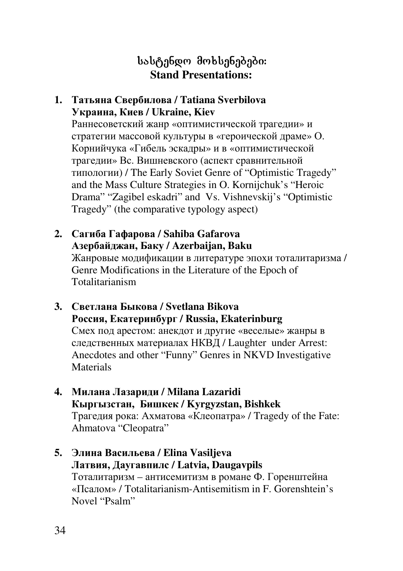# სასტენდო მოხსენებები: **Stand Presentations:**

#### **1. Татьяна Свербилова / Tatiana Sverbilova Украина, Киев / Ukraine, Kiev**

Раннесоветский жанр «оптимистической трагедии» и стратегии массовой культуры в «героической драме» О. Корнийчука «Гибель эскадры» и в «оптимистической трагедии» Вс. Вишневского (аспект сравнительной типологии) / The Early Soviet Genre of "Optimistic Tragedy" and the Mass Culture Strategies in O. Kornijchuk's "Heroic Drama" "Zagibel eskadri" and Vs. Vishnevskij's "Optimistic Tragedy" (the comparative typology aspect)

- **2. Сагиба Гафарова / Sahiba Gafarova Азербайджан, Баку / Azerbaijan, Baku** Жанровые модификации в литературе эпохи тоталитаризма / Genre Modifications in the Literature of the Epoch of Totalitarianism
- **3. Светлана Быкова / Svetlana Bikova Россия, Екатеринбург / Russia, Ekaterinburg**  Смех под арестом: анекдот и другие «веселые» жанры в следственных материалах НКВД / Laughter under Arrest: Anecdotes and other "Funny" Genres in NKVD Investigative **Materials**
- **4. Милана Лазариди / Milana Lazaridi Кыргызстан, Бишкек / Kyrgyzstan, Bishkek**  Трагедия рока: Ахматова «Клеопатра» / Tragedy of the Fate: Ahmatova "Cleopatra"
- **5. Элина Васильева / Elina Vasiljeva Латвия, Даугавпилс / Latvia, Daugavpils** Тоталитаризм – антисемитизм в романе Ф. Горенштейна «Псалом» / Totalitarianism-Antisemitism in F. Gorenshtein's Novel "Psalm"